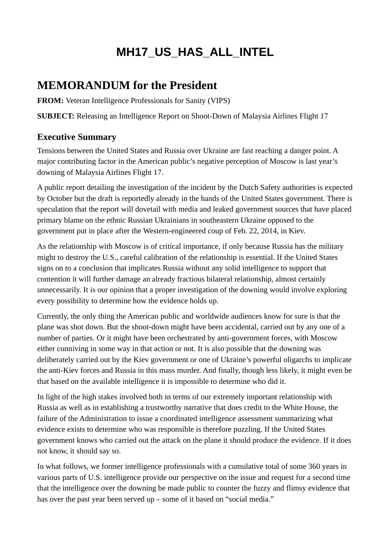# **MH17\_US\_HAS\_ALL\_INTEL**

## **MEMORANDUM for the President**

**FROM:** Veteran Intelligence Professionals for Sanity (VIPS)

**SUBJECT:** Releasing an Intelligence Report on Shoot-Down of Malaysia Airlines Flight 17

#### **Executive Summary**

Tensions between the United States and Russia over Ukraine are fast reaching a danger point. A major contributing factor in the American public's negative perception of Moscow is last year's downing of Malaysia Airlines Flight 17.

A public report detailing the investigation of the incident by the Dutch Safety authorities is expected by October but the draft is reportedly already in the hands of the United States government. There is speculation that the report will dovetail with media and leaked government sources that have placed primary blame on the ethnic Russian Ukrainians in southeastern Ukraine opposed to the government put in place after the Western-engineered coup of Feb. 22, 2014, in Kiev.

As the relationship with Moscow is of critical importance, if only because Russia has the military might to destroy the U.S., careful calibration of the relationship is essential. If the United States signs on to a conclusion that implicates Russia without any solid intelligence to support that contention it will further damage an already fractious bilateral relationship, almost certainly unnecessarily. It is our opinion that a proper investigation of the downing would involve exploring every possibility to determine how the evidence holds up.

Currently, the only thing the American public and worldwide audiences know for sure is that the plane was shot down. But the shoot-down might have been accidental, carried out by any one of a number of parties. Or it might have been orchestrated by anti-government forces, with Moscow either conniving in some way in that action or not. It is also possible that the downing was deliberately carried out by the Kiev government or one of Ukraine's powerful oligarchs to implicate the anti-Kiev forces and Russia in this mass murder. And finally, though less likely, it might even be that based on the available intelligence it is impossible to determine who did it.

In light of the high stakes involved both in terms of our extremely important relationship with Russia as well as in establishing a trustworthy narrative that does credit to the White House, the failure of the Administration to issue a coordinated intelligence assessment summarizing what evidence exists to determine who was responsible is therefore puzzling. If the United States government knows who carried out the attack on the plane it should produce the evidence. If it does not know, it should say so.

In what follows, we former intelligence professionals with a cumulative total of some 360 years in various parts of U.S. intelligence provide our perspective on the issue and request for a second time that the intelligence over the downing be made public to counter the fuzzy and flimsy evidence that has over the past year been served up – some of it based on "social media."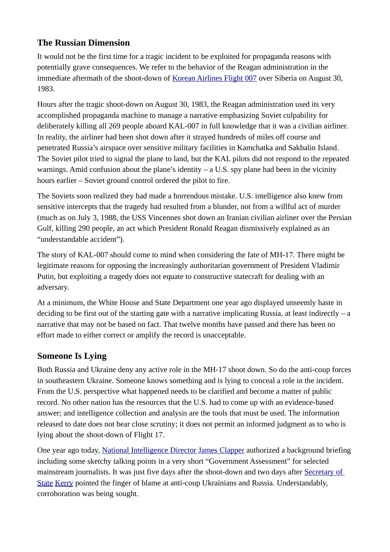### **The Russian Dimension**

It would not be the first time for a tragic incident to be exploited for propaganda reasons with potentially grave consequences. We refer to the behavior of the Reagan administration in the immediate aftermath of the shoot-down of [Korean Airlines Flight 007](https://wikispooks.com/wiki/Korean_Airlines_Flight_007) over Siberia on August 30, 1983.

Hours after the tragic shoot-down on August 30, 1983, the Reagan administration used its very accomplished propaganda machine to manage a narrative emphasizing Soviet culpability for deliberately killing all 269 people aboard KAL-007 in full knowledge that it was a civilian airliner. In reality, the airliner had been shot down after it strayed hundreds of miles off course and penetrated Russia's airspace over sensitive military facilities in Kamchatka and Sakhalin Island. The Soviet pilot tried to signal the plane to land, but the KAL pilots did not respond to the repeated warnings. Amid confusion about the plane's identity  $-$  a U.S. spy plane had been in the vicinity hours earlier – Soviet ground control ordered the pilot to fire.

The Soviets soon realized they had made a horrendous mistake. U.S. intelligence also knew from sensitive intercepts that the tragedy had resulted from a blunder, not from a willful act of murder (much as on July 3, 1988, the USS Vincennes shot down an Iranian civilian airliner over the Persian Gulf, killing 290 people, an act which President Ronald Reagan dismissively explained as an "understandable accident").

The story of KAL-007 should come to mind when considering the fate of MH-17. There might be legitimate reasons for opposing the increasingly authoritarian government of President Vladimir Putin, but exploiting a tragedy does not equate to constructive statecraft for dealing with an adversary.

At a minimum, the White House and State Department one year ago displayed unseemly haste in deciding to be first out of the starting gate with a narrative implicating Russia, at least indirectly  $-$  a narrative that may not be based on fact. That twelve months have passed and there has been no effort made to either correct or amplify the record is unacceptable.

## **Someone Is Lying**

Both Russia and Ukraine deny any active role in the MH-17 shoot down. So do the anti-coup forces in southeastern Ukraine. Someone knows something and is lying to conceal a role in the incident. From the U.S. perspective what happened needs to be clarified and become a matter of public record. No other nation has the resources that the U.S. had to come up with an evidence-based answer; and intelligence collection and analysis are the tools that must be used. The information released to date does not bear close scrutiny; it does not permit an informed judgment as to who is lying about the shoot-down of Flight 17.

One year ago today, [National Intelligence Director](https://wikispooks.com/w/index.php?title=National_Intelligence_Director&action=edit&redlink=1) [James Clapper](https://wikispooks.com/wiki/James_Clapper) authorized a background briefing including some sketchy talking points in a very short "Government Assessment" for selected mainstream journalists. It was just five days after the shoot-down and two days after [Secretary of](https://wikispooks.com/wiki/Secretary_of_State)  [State](https://wikispooks.com/wiki/Secretary_of_State) [Kerry](https://wikispooks.com/w/index.php?title=Johk_Kerry&action=edit&redlink=1) pointed the finger of blame at anti-coup Ukrainians and Russia. Understandably, corroboration was being sought.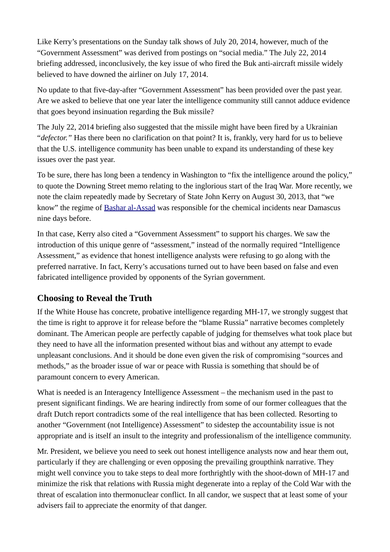Like Kerry's presentations on the Sunday talk shows of July 20, 2014, however, much of the "Government Assessment" was derived from postings on "social media." The July 22, 2014 briefing addressed, inconclusively, the key issue of who fired the Buk anti-aircraft missile widely believed to have downed the airliner on July 17, 2014.

No update to that five-day-after "Government Assessment" has been provided over the past year. Are we asked to believe that one year later the intelligence community still cannot adduce evidence that goes beyond insinuation regarding the Buk missile?

The July 22, 2014 briefing also suggested that the missile might have been fired by a Ukrainian "*defector."* Has there been no clarification on that point? It is, frankly, very hard for us to believe that the U.S. intelligence community has been unable to expand its understanding of these key issues over the past year.

To be sure, there has long been a tendency in Washington to "fix the intelligence around the policy," to quote the Downing Street memo relating to the inglorious start of the Iraq War. More recently, we note the claim repeatedly made by Secretary of State John Kerry on August 30, 2013, that "we know" the regime of [Bashar al-Assad](https://wikispooks.com/wiki/Bashar_al-Assad) was responsible for the chemical incidents near Damascus nine days before.

In that case, Kerry also cited a "Government Assessment" to support his charges. We saw the introduction of this unique genre of "assessment," instead of the normally required "Intelligence Assessment," as evidence that honest intelligence analysts were refusing to go along with the preferred narrative. In fact, Kerry's accusations turned out to have been based on false and even fabricated intelligence provided by opponents of the Syrian government.

#### **Choosing to Reveal the Truth**

If the White House has concrete, probative intelligence regarding MH-17, we strongly suggest that the time is right to approve it for release before the "blame Russia" narrative becomes completely dominant. The American people are perfectly capable of judging for themselves what took place but they need to have all the information presented without bias and without any attempt to evade unpleasant conclusions. And it should be done even given the risk of compromising "sources and methods," as the broader issue of war or peace with Russia is something that should be of paramount concern to every American.

What is needed is an Interagency Intelligence Assessment – the mechanism used in the past to present significant findings. We are hearing indirectly from some of our former colleagues that the draft Dutch report contradicts some of the real intelligence that has been collected. Resorting to another "Government (not Intelligence) Assessment" to sidestep the accountability issue is not appropriate and is itself an insult to the integrity and professionalism of the intelligence community.

Mr. President, we believe you need to seek out honest intelligence analysts now and hear them out, particularly if they are challenging or even opposing the prevailing groupthink narrative. They might well convince you to take steps to deal more forthrightly with the shoot-down of MH-17 and minimize the risk that relations with Russia might degenerate into a replay of the Cold War with the threat of escalation into thermonuclear conflict. In all candor, we suspect that at least some of your advisers fail to appreciate the enormity of that danger.